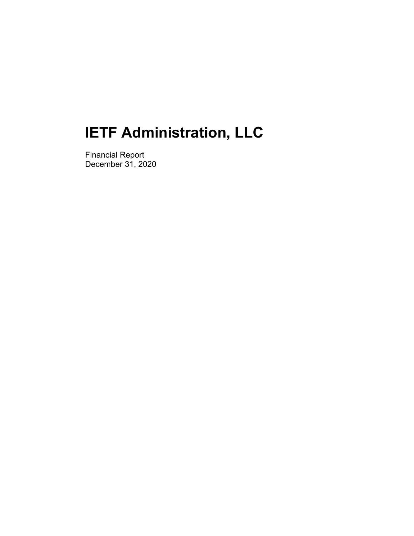Financial Report December 31, 2020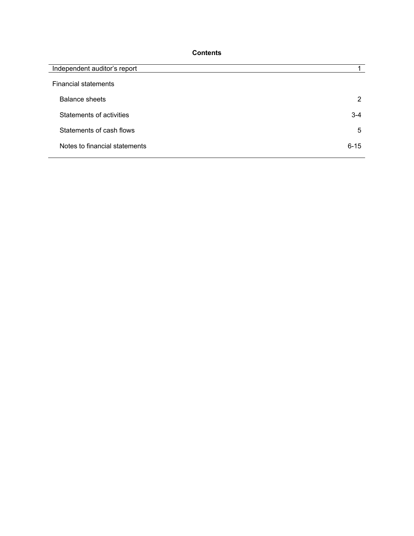# **Contents**

| Independent auditor's report  |          |
|-------------------------------|----------|
| <b>Financial statements</b>   |          |
| <b>Balance sheets</b>         | 2        |
| Statements of activities      | $3 - 4$  |
| Statements of cash flows      | 5        |
| Notes to financial statements | $6 - 15$ |
|                               |          |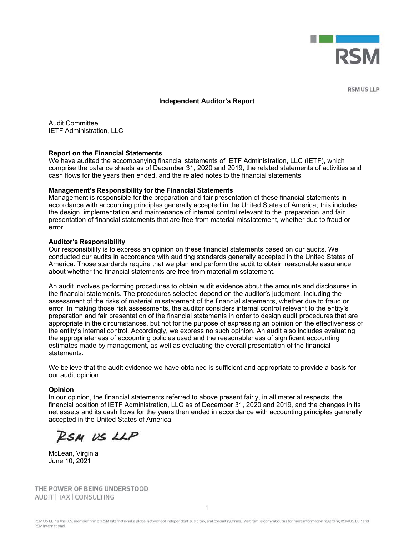

**RSM US LLP** 

#### **Independent Auditor's Report**

Audit Committee IETF Administration, LLC

#### **Report on the Financial Statements**

We have audited the accompanying financial statements of IETF Administration, LLC (IETF), which comprise the balance sheets as of December 31, 2020 and 2019, the related statements of activities and cash flows for the years then ended, and the related notes to the financial statements.

#### **Management's Responsibility for the Financial Statements**

Management is responsible for the preparation and fair presentation of these financial statements in accordance with accounting principles generally accepted in the United States of America; this includes the design, implementation and maintenance of internal control relevant to the preparation and fair presentation of financial statements that are free from material misstatement, whether due to fraud or error.

#### **Auditor's Responsibility**

Our responsibility is to express an opinion on these financial statements based on our audits. We conducted our audits in accordance with auditing standards generally accepted in the United States of America. Those standards require that we plan and perform the audit to obtain reasonable assurance about whether the financial statements are free from material misstatement.

An audit involves performing procedures to obtain audit evidence about the amounts and disclosures in the financial statements. The procedures selected depend on the auditor's judgment, including the assessment of the risks of material misstatement of the financial statements, whether due to fraud or error. In making those risk assessments, the auditor considers internal control relevant to the entity's preparation and fair presentation of the financial statements in order to design audit procedures that are appropriate in the circumstances, but not for the purpose of expressing an opinion on the effectiveness of the entity's internal control. Accordingly, we express no such opinion. An audit also includes evaluating the appropriateness of accounting policies used and the reasonableness of significant accounting estimates made by management, as well as evaluating the overall presentation of the financial statements.

We believe that the audit evidence we have obtained is sufficient and appropriate to provide a basis for our audit opinion.

#### **Opinion**

In our opinion, the financial statements referred to above present fairly, in all material respects, the financial position of IETF Administration, LLC as of December 31, 2020 and 2019, and the changes in its net assets and its cash flows for the years then ended in accordance with accounting principles generally accepted in the United States of America.

RSM US LLP

McLean, Virginia June 10, 2021

THE POWER OF BEING UNDERSTOOD AUDIT | TAX | CONSULTING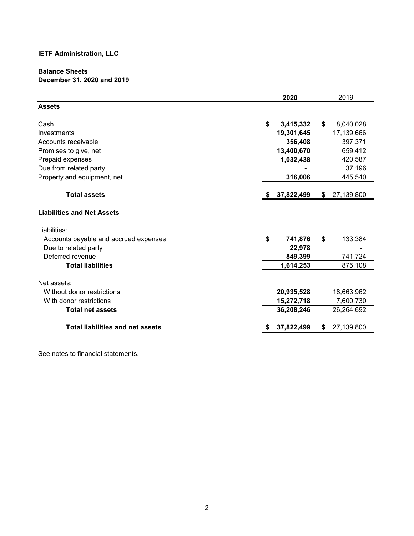# **Balance Sheets December 31, 2020 and 2019**

|                                         |    | 2020       |    | 2019       |
|-----------------------------------------|----|------------|----|------------|
| <b>Assets</b>                           |    |            |    |            |
| Cash                                    | \$ | 3,415,332  | \$ | 8,040,028  |
| Investments                             |    | 19,301,645 |    | 17,139,666 |
| Accounts receivable                     |    | 356,408    |    | 397,371    |
| Promises to give, net                   |    | 13,400,670 |    | 659,412    |
| Prepaid expenses                        |    | 1,032,438  |    | 420,587    |
| Due from related party                  |    |            |    | 37,196     |
| Property and equipment, net             |    | 316,006    |    | 445,540    |
| <b>Total assets</b>                     | S  | 37,822,499 | \$ | 27,139,800 |
| <b>Liabilities and Net Assets</b>       |    |            |    |            |
| Liabilities:                            |    |            |    |            |
| Accounts payable and accrued expenses   | \$ | 741,876    | \$ | 133,384    |
| Due to related party                    |    | 22,978     |    |            |
| Deferred revenue                        |    | 849,399    |    | 741,724    |
| <b>Total liabilities</b>                |    | 1,614,253  |    | 875,108    |
| Net assets:                             |    |            |    |            |
| Without donor restrictions              |    | 20,935,528 |    | 18,663,962 |
| With donor restrictions                 |    | 15,272,718 |    | 7,600,730  |
| <b>Total net assets</b>                 |    | 36,208,246 |    | 26,264,692 |
| <b>Total liabilities and net assets</b> |    | 37,822,499 | S  | 27,139,800 |
|                                         |    |            |    |            |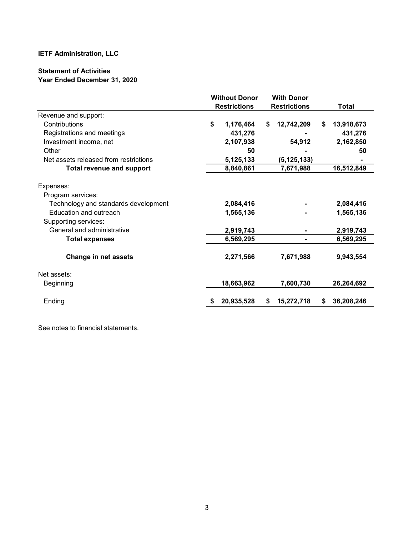# **Statement of Activities Year Ended December 31, 2020**

|                                       | <b>Without Donor</b><br><b>Restrictions</b> |    | <b>With Donor</b><br><b>Restrictions</b> |   | <b>Total</b> |
|---------------------------------------|---------------------------------------------|----|------------------------------------------|---|--------------|
| Revenue and support:                  |                                             |    |                                          |   |              |
| Contributions                         | \$<br>1,176,464                             | \$ | 12,742,209                               | S | 13,918,673   |
| Registrations and meetings            | 431,276                                     |    |                                          |   | 431,276      |
| Investment income, net                | 2,107,938                                   |    | 54,912                                   |   | 2,162,850    |
| Other                                 | 50                                          |    |                                          |   | 50           |
| Net assets released from restrictions | 5,125,133                                   |    | (5, 125, 133)                            |   |              |
| <b>Total revenue and support</b>      | 8,840,861                                   |    | 7,671,988                                |   | 16,512,849   |
| Expenses:                             |                                             |    |                                          |   |              |
| Program services:                     |                                             |    |                                          |   |              |
| Technology and standards development  | 2,084,416                                   |    |                                          |   | 2,084,416    |
| Education and outreach                | 1,565,136                                   |    |                                          |   | 1,565,136    |
| Supporting services:                  |                                             |    |                                          |   |              |
| General and administrative            | 2,919,743                                   |    |                                          |   | 2,919,743    |
| <b>Total expenses</b>                 | 6,569,295                                   |    |                                          |   | 6,569,295    |
| <b>Change in net assets</b>           | 2,271,566                                   |    | 7,671,988                                |   | 9,943,554    |
| Net assets:                           |                                             |    |                                          |   |              |
| Beginning                             | 18,663,962                                  |    | 7,600,730                                |   | 26,264,692   |
| Ending                                | 20,935,528                                  | S. | 15,272,718                               | S | 36,208,246   |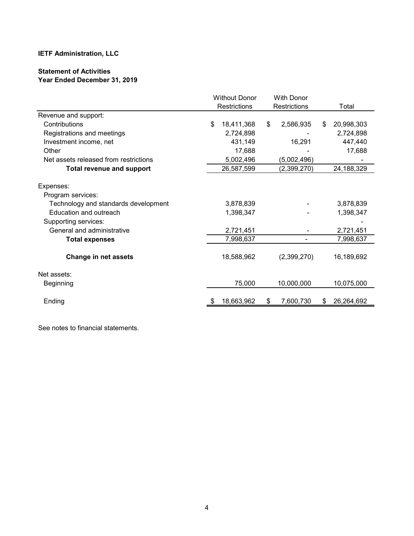# **Statement of Activities Year Ended December 31, 2019**

|                                                                                                                          | <b>Without Donor</b><br>Restrictions |    | <b>With Donor</b><br>Restrictions |    | Total                  |
|--------------------------------------------------------------------------------------------------------------------------|--------------------------------------|----|-----------------------------------|----|------------------------|
| Revenue and support:                                                                                                     |                                      |    |                                   |    |                        |
| Contributions                                                                                                            | \$<br>18,411,368                     | \$ | 2,586,935                         | \$ | 20,998,303             |
| Registrations and meetings                                                                                               | 2,724,898                            |    |                                   |    | 2,724,898              |
| Investment income, net                                                                                                   | 431,149                              |    | 16,291                            |    | 447,440                |
| Other                                                                                                                    | 17,688                               |    |                                   |    | 17,688                 |
| Net assets released from restrictions                                                                                    | 5,002,496                            |    | (5,002,496)                       |    |                        |
| <b>Total revenue and support</b>                                                                                         | 26,587,599                           |    | (2,399,270)                       |    | 24,188,329             |
| Expenses:<br>Program services:<br>Technology and standards development<br>Education and outreach<br>Supporting services: | 3,878,839<br>1,398,347               |    |                                   |    | 3,878,839<br>1,398,347 |
| General and administrative                                                                                               | 2,721,451                            |    |                                   |    | 2,721,451              |
| <b>Total expenses</b>                                                                                                    | 7,998,637                            |    |                                   |    | 7,998,637              |
| <b>Change in net assets</b>                                                                                              | 18,588,962                           |    | (2,399,270)                       |    | 16,189,692             |
| Net assets:                                                                                                              |                                      |    |                                   |    |                        |
| Beginning                                                                                                                | 75,000                               |    | 10,000,000                        |    | 10,075,000             |
| Ending                                                                                                                   | 18,663,962                           | S  | 7,600,730                         | S  | 26,264,692             |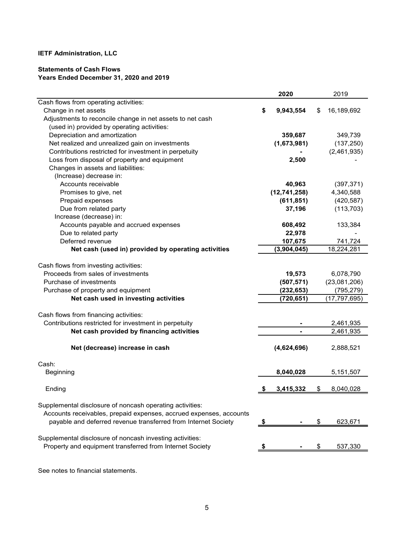# **Statements of Cash Flows Years Ended December 31, 2020 and 2019**

|                                                                    | 2020            | 2019             |
|--------------------------------------------------------------------|-----------------|------------------|
| Cash flows from operating activities:                              |                 |                  |
| Change in net assets                                               | \$<br>9,943,554 | \$<br>16,189,692 |
| Adjustments to reconcile change in net assets to net cash          |                 |                  |
| (used in) provided by operating activities:                        |                 |                  |
| Depreciation and amortization                                      | 359,687         | 349,739          |
| Net realized and unrealized gain on investments                    | (1,673,981)     | (137, 250)       |
| Contributions restricted for investment in perpetuity              |                 | (2,461,935)      |
| Loss from disposal of property and equipment                       | 2,500           |                  |
| Changes in assets and liabilities:                                 |                 |                  |
| (Increase) decrease in:                                            |                 |                  |
| Accounts receivable                                                | 40,963          | (397, 371)       |
| Promises to give, net                                              | (12,741,258)    | 4,340,588        |
| Prepaid expenses                                                   | (611, 851)      | (420, 587)       |
| Due from related party                                             | 37,196          | (113, 703)       |
| Increase (decrease) in:                                            |                 |                  |
| Accounts payable and accrued expenses                              | 608,492         | 133,384          |
| Due to related party                                               | 22,978          |                  |
| Deferred revenue                                                   | 107,675         | 741,724          |
| Net cash (used in) provided by operating activities                | (3,904,045)     | 18,224,281       |
|                                                                    |                 |                  |
| Cash flows from investing activities:                              |                 |                  |
| Proceeds from sales of investments                                 | 19,573          | 6,078,790        |
| Purchase of investments                                            | (507, 571)      | (23,081,206)     |
| Purchase of property and equipment                                 | (232, 653)      | (795, 279)       |
| Net cash used in investing activities                              | (720, 651)      | (17, 797, 695)   |
|                                                                    |                 |                  |
| Cash flows from financing activities:                              |                 |                  |
| Contributions restricted for investment in perpetuity              |                 | 2,461,935        |
| Net cash provided by financing activities                          |                 | 2,461,935        |
|                                                                    |                 |                  |
| Net (decrease) increase in cash                                    | (4,624,696)     | 2,888,521        |
| Cash:                                                              |                 |                  |
|                                                                    |                 |                  |
| Beginning                                                          | 8,040,028       | 5,151,507        |
| Ending                                                             | \$<br>3,415,332 | \$<br>8,040,028  |
|                                                                    |                 |                  |
| Supplemental disclosure of noncash operating activities:           |                 |                  |
| Accounts receivables, prepaid expenses, accrued expenses, accounts |                 |                  |
| payable and deferred revenue transferred from Internet Society     | \$              | \$<br>623,671    |
|                                                                    |                 |                  |
| Supplemental disclosure of noncash investing activities:           |                 |                  |
| Property and equipment transferred from Internet Society           |                 | 537,330          |
|                                                                    |                 |                  |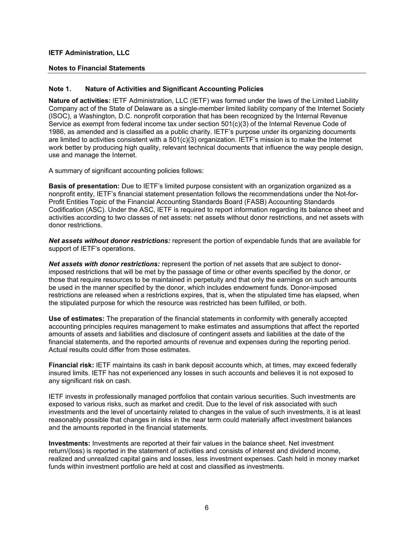# **Notes to Financial Statements**

## **Note 1. Nature of Activities and Significant Accounting Policies**

**Nature of activities:** IETF Administration, LLC (IETF) was formed under the laws of the Limited Liability Company act of the State of Delaware as a single-member limited liability company of the Internet Society (ISOC), a Washington, D.C. nonprofit corporation that has been recognized by the Internal Revenue Service as exempt from federal income tax under section 501(c)(3) of the Internal Revenue Code of 1986, as amended and is classified as a public charity. IETF's purpose under its organizing documents are limited to activities consistent with a  $501(c)(3)$  organization. IETF's mission is to make the Internet work better by producing high quality, relevant technical documents that influence the way people design, use and manage the Internet.

A summary of significant accounting policies follows:

**Basis of presentation:** Due to IETF's limited purpose consistent with an organization organized as a nonprofit entity, IETF's financial statement presentation follows the recommendations under the Not-for-Profit Entities Topic of the Financial Accounting Standards Board (FASB) Accounting Standards Codification (ASC). Under the ASC, IETF is required to report information regarding its balance sheet and activities according to two classes of net assets: net assets without donor restrictions, and net assets with donor restrictions.

*Net assets without donor restrictions:* represent the portion of expendable funds that are available for support of IETF's operations.

*Net assets with donor restrictions:* represent the portion of net assets that are subject to donorimposed restrictions that will be met by the passage of time or other events specified by the donor, or those that require resources to be maintained in perpetuity and that only the earnings on such amounts be used in the manner specified by the donor, which includes endowment funds. Donor-imposed restrictions are released when a restrictions expires, that is, when the stipulated time has elapsed, when the stipulated purpose for which the resource was restricted has been fulfilled, or both.

**Use of estimates:** The preparation of the financial statements in conformity with generally accepted accounting principles requires management to make estimates and assumptions that affect the reported amounts of assets and liabilities and disclosure of contingent assets and liabilities at the date of the financial statements, and the reported amounts of revenue and expenses during the reporting period. Actual results could differ from those estimates.

**Financial risk:** IETF maintains its cash in bank deposit accounts which, at times, may exceed federally insured limits. IETF has not experienced any losses in such accounts and believes it is not exposed to any significant risk on cash.

IETF invests in professionally managed portfolios that contain various securities. Such investments are exposed to various risks, such as market and credit. Due to the level of risk associated with such investments and the level of uncertainty related to changes in the value of such investments, it is at least reasonably possible that changes in risks in the near term could materially affect investment balances and the amounts reported in the financial statements.

**Investments:** Investments are reported at their fair values in the balance sheet. Net investment return/(loss) is reported in the statement of activities and consists of interest and dividend income, realized and unrealized capital gains and losses, less investment expenses. Cash held in money market funds within investment portfolio are held at cost and classified as investments.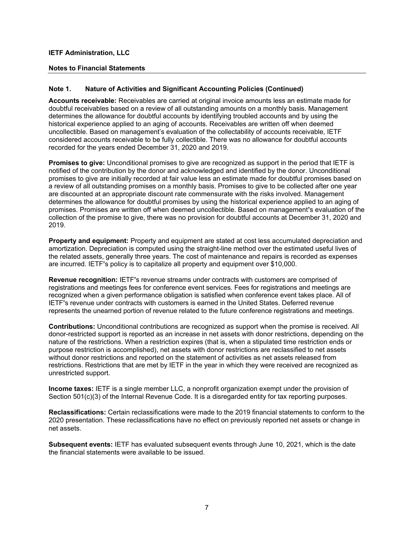#### **Notes to Financial Statements**

#### **Note 1. Nature of Activities and Significant Accounting Policies (Continued)**

**Accounts receivable:** Receivables are carried at original invoice amounts less an estimate made for doubtful receivables based on a review of all outstanding amounts on a monthly basis. Management determines the allowance for doubtful accounts by identifying troubled accounts and by using the historical experience applied to an aging of accounts. Receivables are written off when deemed uncollectible. Based on management's evaluation of the collectability of accounts receivable, IETF considered accounts receivable to be fully collectible. There was no allowance for doubtful accounts recorded for the years ended December 31, 2020 and 2019.

**Promises to give:** Unconditional promises to give are recognized as support in the period that IETF is notified of the contribution by the donor and acknowledged and identified by the donor. Unconditional promises to give are initially recorded at fair value less an estimate made for doubtful promises based on a review of all outstanding promises on a monthly basis. Promises to give to be collected after one year are discounted at an appropriate discount rate commensurate with the risks involved. Management determines the allowance for doubtful promises by using the historical experience applied to an aging of promises. Promises are written off when deemed uncollectible. Based on management**'**s evaluation of the collection of the promise to give, there was no provision for doubtful accounts at December 31, 2020 and 2019.

**Property and equipment:** Property and equipment are stated at cost less accumulated depreciation and amortization. Depreciation is computed using the straight-line method over the estimated useful lives of the related assets, generally three years. The cost of maintenance and repairs is recorded as expenses are incurred. IETF**'**s policy is to capitalize all property and equipment over \$10,000.

**Revenue recognition:** IETF**'**s revenue streams under contracts with customers are comprised of registrations and meetings fees for conference event services. Fees for registrations and meetings are recognized when a given performance obligation is satisfied when conference event takes place. All of IETF**'**s revenue under contracts with customers is earned in the United States. Deferred revenue represents the unearned portion of revenue related to the future conference registrations and meetings.

**Contributions:** Unconditional contributions are recognized as support when the promise is received. All donor-restricted support is reported as an increase in net assets with donor restrictions, depending on the nature of the restrictions. When a restriction expires (that is, when a stipulated time restriction ends or purpose restriction is accomplished), net assets with donor restrictions are reclassified to net assets without donor restrictions and reported on the statement of activities as net assets released from restrictions. Restrictions that are met by IETF in the year in which they were received are recognized as unrestricted support.

**Income taxes:** IETF is a single member LLC, a nonprofit organization exempt under the provision of Section 501(c)(3) of the Internal Revenue Code. It is a disregarded entity for tax reporting purposes.

**Reclassifications:** Certain reclassifications were made to the 2019 financial statements to conform to the 2020 presentation. These reclassifications have no effect on previously reported net assets or change in net assets.

**Subsequent events:** IETF has evaluated subsequent events through June 10, 2021, which is the date the financial statements were available to be issued.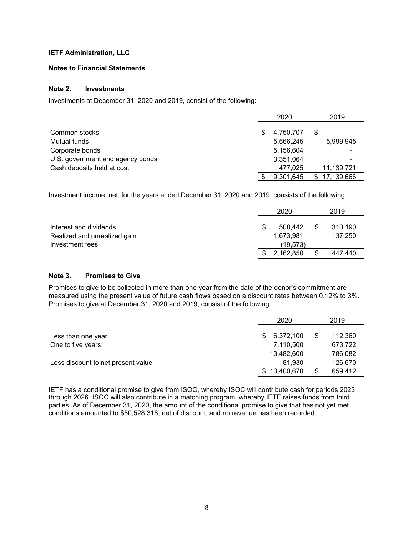# **Notes to Financial Statements**

# **Note 2. Investments**

Investments at December 31, 2020 and 2019, consist of the following:

|                                  | 2020            | 2019              |
|----------------------------------|-----------------|-------------------|
| Common stocks                    | \$<br>4,750,707 | \$                |
| Mutual funds                     | 5,566,245       | 5,999,945         |
| Corporate bonds                  | 5,156,604       |                   |
| U.S. government and agency bonds | 3,351,064       |                   |
| Cash deposits held at cost       | 477.025         | 11,139,721        |
|                                  | 19,301,645      | 17,139,666<br>\$. |

Investment income, net, for the years ended December 31, 2020 and 2019, consists of the following:

| Interest and dividends       | 508.442   | 310,190        |
|------------------------------|-----------|----------------|
| Realized and unrealized gain | 1,673,981 | 137,250        |
| Investment fees              | (19, 573) | $\blacksquare$ |
|                              | 2,162,850 | 447,440        |

# **Note 3. Promises to Give**

Promises to give to be collected in more than one year from the date of the donor's commitment are measured using the present value of future cash flows based on a discount rates between 0.12% to 3%. Promises to give at December 31, 2020 and 2019, consist of the following:

|                                    |    | 2020       |   | 2019    |
|------------------------------------|----|------------|---|---------|
| Less than one year                 | S. | 6,372,100  | S | 112,360 |
| One to five years                  |    | 7,110,500  |   | 673,722 |
|                                    |    | 13,482,600 |   | 786,082 |
| Less discount to net present value |    | 81.930     |   | 126,670 |
|                                    |    | 13,400,670 |   | 659,412 |

IETF has a conditional promise to give from ISOC, whereby ISOC will contribute cash for periods 2023 through 2026. ISOC will also contribute in a matching program, whereby IETF raises funds from third parties. As of December 31, 2020, the amount of the conditional promise to give that has not yet met conditions amounted to \$50,528,318, net of discount, and no revenue has been recorded.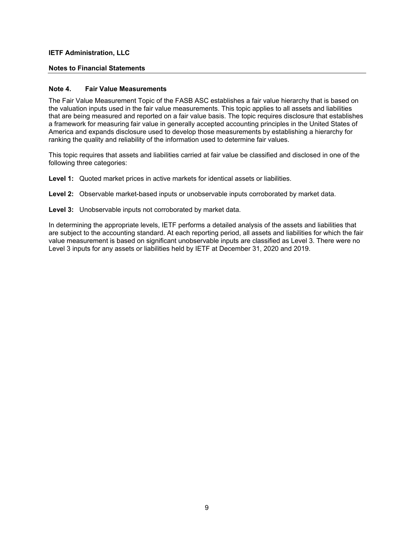#### **Notes to Financial Statements**

#### **Note 4. Fair Value Measurements**

The Fair Value Measurement Topic of the FASB ASC establishes a fair value hierarchy that is based on the valuation inputs used in the fair value measurements. This topic applies to all assets and liabilities that are being measured and reported on a fair value basis. The topic requires disclosure that establishes a framework for measuring fair value in generally accepted accounting principles in the United States of America and expands disclosure used to develop those measurements by establishing a hierarchy for ranking the quality and reliability of the information used to determine fair values.

This topic requires that assets and liabilities carried at fair value be classified and disclosed in one of the following three categories:

**Level 1:** Quoted market prices in active markets for identical assets or liabilities.

**Level 2:** Observable market-based inputs or unobservable inputs corroborated by market data.

**Level 3:** Unobservable inputs not corroborated by market data.

In determining the appropriate levels, IETF performs a detailed analysis of the assets and liabilities that are subject to the accounting standard. At each reporting period, all assets and liabilities for which the fair value measurement is based on significant unobservable inputs are classified as Level 3. There were no Level 3 inputs for any assets or liabilities held by IETF at December 31, 2020 and 2019.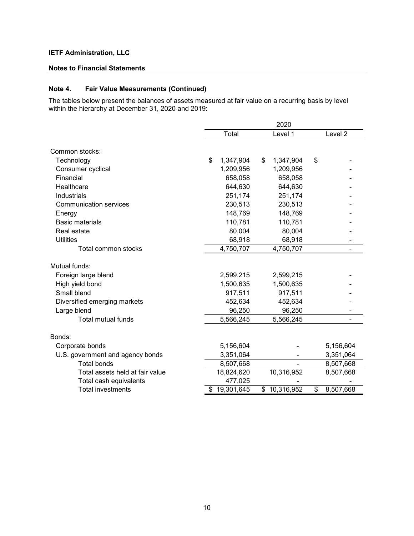#### **Notes to Financial Statements**

# **Note 4. Fair Value Measurements (Continued)**

The tables below present the balances of assets measured at fair value on a recurring basis by level within the hierarchy at December 31, 2020 and 2019:

|                                  | 2020             |    |              |    |                    |
|----------------------------------|------------------|----|--------------|----|--------------------|
|                                  | Total            |    | Level 1      |    | Level <sub>2</sub> |
| Common stocks:                   |                  |    |              |    |                    |
| Technology                       | \$<br>1,347,904  | \$ | 1,347,904    | \$ |                    |
| Consumer cyclical                | 1,209,956        |    | 1,209,956    |    |                    |
| Financial                        | 658,058          |    | 658,058      |    |                    |
| Healthcare                       | 644,630          |    | 644,630      |    |                    |
| Industrials                      | 251,174          |    | 251,174      |    |                    |
| <b>Communication services</b>    | 230,513          |    | 230,513      |    |                    |
| Energy                           | 148,769          |    | 148,769      |    |                    |
| <b>Basic materials</b>           | 110,781          |    | 110,781      |    |                    |
| Real estate                      | 80,004           |    | 80,004       |    |                    |
| <b>Utilities</b>                 | 68,918           |    | 68,918       |    |                    |
| Total common stocks              | 4,750,707        |    | 4,750,707    |    |                    |
| Mutual funds:                    |                  |    |              |    |                    |
| Foreign large blend              | 2,599,215        |    | 2,599,215    |    |                    |
| High yield bond                  | 1,500,635        |    | 1,500,635    |    |                    |
| Small blend                      | 917,511          |    | 917,511      |    |                    |
| Diversified emerging markets     | 452,634          |    | 452,634      |    |                    |
| Large blend                      | 96,250           |    | 96,250       |    |                    |
| <b>Total mutual funds</b>        | 5,566,245        |    | 5,566,245    |    |                    |
| Bonds:                           |                  |    |              |    |                    |
| Corporate bonds                  | 5,156,604        |    |              |    | 5,156,604          |
| U.S. government and agency bonds | 3,351,064        |    | ۰            |    | 3,351,064          |
| <b>Total bonds</b>               | 8,507,668        |    |              |    | 8,507,668          |
| Total assets held at fair value  | 18,824,620       |    | 10,316,952   |    | 8,507,668          |
| Total cash equivalents           | 477,025          |    |              |    |                    |
| <b>Total investments</b>         | \$<br>19,301,645 |    | \$10,316,952 | \$ | 8,507,668          |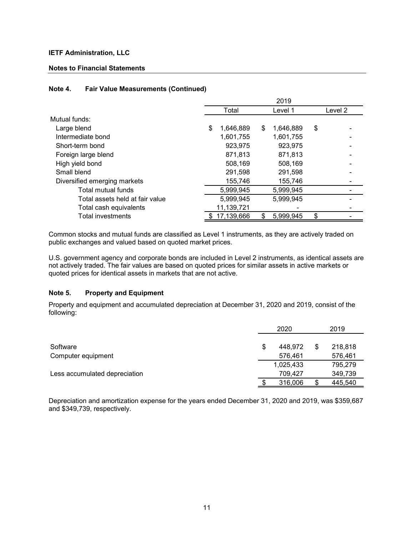#### **Notes to Financial Statements**

# Total Level 1 Level 2 Mutual funds: Large blend  $$ 1,646,889 $ 1,646,889 $$ Intermediate bond 1,601,755 1,601,755 - Short-term bond 923,975 923,975 Foreign large blend and the state of the state of the state of the state of the state of the state of the state of the state of the state of the state of the state of the state of the state of the state of the state of the High yield bond 608,169 508,169 508,169 Small blend 291,598 291,598 - Diversified emerging markets 155,746 155,746 155,746 Total mutual funds 1.5,999,945 5,999,945 Total assets held at fair value 5,999,945 5,999,945 Total cash equivalents 11,139,721 Total investments 6 17,139,666 5,999,945 \$ 2019

#### **Note 4. Fair Value Measurements (Continued)**

Common stocks and mutual funds are classified as Level 1 instruments, as they are actively traded on public exchanges and valued based on quoted market prices.

U.S. government agency and corporate bonds are included in Level 2 instruments, as identical assets are not actively traded. The fair values are based on quoted prices for similar assets in active markets or quoted prices for identical assets in markets that are not active.

#### **Note 5. Property and Equipment**

Property and equipment and accumulated depreciation at December 31, 2020 and 2019, consist of the following:

|                               |   | 2020      | 2019          |
|-------------------------------|---|-----------|---------------|
|                               |   |           |               |
| Software                      | S | 448.972   | \$<br>218,818 |
| Computer equipment            |   | 576,461   | 576,461       |
|                               |   | 1,025,433 | 795,279       |
| Less accumulated depreciation |   | 709.427   | 349,739       |
|                               |   | 316,006   | 445.540       |

Depreciation and amortization expense for the years ended December 31, 2020 and 2019, was \$359,687 and \$349,739, respectively.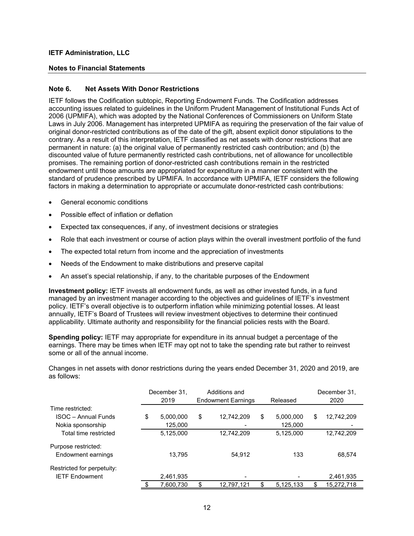#### **Notes to Financial Statements**

#### **Note 6. Net Assets With Donor Restrictions**

IETF follows the Codification subtopic, Reporting Endowment Funds. The Codification addresses accounting issues related to guidelines in the Uniform Prudent Management of Institutional Funds Act of 2006 (UPMIFA), which was adopted by the National Conferences of Commissioners on Uniform State Laws in July 2006. Management has interpreted UPMIFA as requiring the preservation of the fair value of original donor-restricted contributions as of the date of the gift, absent explicit donor stipulations to the contrary. As a result of this interpretation, IETF classified as net assets with donor restrictions that are permanent in nature: (a) the original value of permanently restricted cash contribution; and (b) the discounted value of future permanently restricted cash contributions, net of allowance for uncollectible promises. The remaining portion of donor-restricted cash contributions remain in the restricted endowment until those amounts are appropriated for expenditure in a manner consistent with the standard of prudence prescribed by UPMIFA. In accordance with UPMIFA, IETF considers the following factors in making a determination to appropriate or accumulate donor-restricted cash contributions:

- General economic conditions
- Possible effect of inflation or deflation
- Expected tax consequences, if any, of investment decisions or strategies
- Role that each investment or course of action plays within the overall investment portfolio of the fund
- The expected total return from income and the appreciation of investments
- Needs of the Endowment to make distributions and preserve capital
- An asset's special relationship, if any, to the charitable purposes of the Endowment

**Investment policy:** IETF invests all endowment funds, as well as other invested funds, in a fund managed by an investment manager according to the objectives and guidelines of IETF's investment policy. IETF's overall objective is to outperform inflation while minimizing potential losses. At least annually, IETF's Board of Trustees will review investment objectives to determine their continued applicability. Ultimate authority and responsibility for the financial policies rests with the Board.

**Spending policy:** IETF may appropriate for expenditure in its annual budget a percentage of the earnings. There may be times when IETF may opt not to take the spending rate but rather to reinvest some or all of the annual income.

Changes in net assets with donor restrictions during the years ended December 31, 2020 and 2019, are as follows:

|                            | December 31.    | Additions and |                           |    |           | December 31.     |
|----------------------------|-----------------|---------------|---------------------------|----|-----------|------------------|
|                            | 2019            |               | <b>Endowment Earnings</b> |    | Released  | 2020             |
| Time restricted:           |                 |               |                           |    |           |                  |
| <b>ISOC</b> - Annual Funds | \$<br>5,000,000 | \$            | 12,742,209                | \$ | 5,000,000 | \$<br>12,742,209 |
| Nokia sponsorship          | 125,000         |               |                           |    | 125,000   |                  |
| Total time restricted      | 5,125,000       |               | 12,742,209                |    | 5,125,000 | 12,742,209       |
| Purpose restricted:        |                 |               |                           |    |           |                  |
| Endowment earnings         | 13.795          |               | 54,912                    |    | 133       | 68,574           |
| Restricted for perpetuity: |                 |               |                           |    |           |                  |
| <b>IETF Endowment</b>      | 2,461,935       |               |                           |    |           | 2,461,935        |
|                            | 7,600,730       | \$            | 12,797,121                | S  | 5,125,133 | 15,272,718       |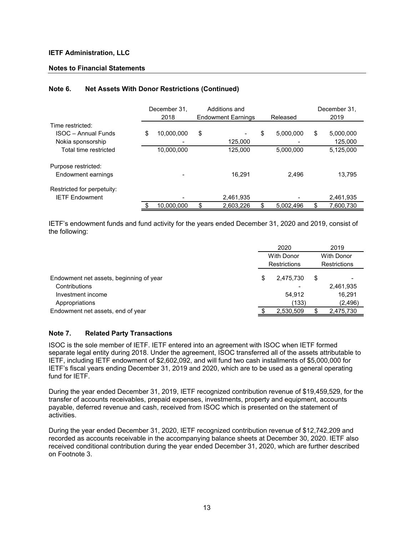# **Notes to Financial Statements**

|                            | December 31.<br>2018 | Additions and<br><b>Endowment Earnings</b> | Released        |   | December 31,<br>2019 |
|----------------------------|----------------------|--------------------------------------------|-----------------|---|----------------------|
| Time restricted:           |                      |                                            |                 |   |                      |
| <b>ISOC</b> – Annual Funds | \$<br>10,000,000     | \$                                         | \$<br>5.000.000 | S | 5,000,000            |
| Nokia sponsorship          |                      | 125,000                                    |                 |   | 125,000              |
| Total time restricted      | 10,000,000           | 125.000                                    | 5,000,000       |   | 5,125,000            |
| Purpose restricted:        |                      |                                            |                 |   |                      |
| Endowment earnings         |                      | 16.291                                     | 2.496           |   | 13.795               |
| Restricted for perpetuity: |                      |                                            |                 |   |                      |
| <b>IETF Endowment</b>      |                      | 2,461,935                                  |                 |   | 2,461,935            |
|                            | 10.000.000           | \$<br>2.603.226                            | \$<br>5.002.496 |   | 7,600,730            |

# **Note 6. Net Assets With Donor Restrictions (Continued)**

IETF's endowment funds and fund activity for the years ended December 31, 2020 and 2019, consist of the following:

|                                         |   | 2020                              | 2019 |                                          |  |
|-----------------------------------------|---|-----------------------------------|------|------------------------------------------|--|
|                                         |   | <b>With Donor</b><br>Restrictions |      | <b>With Donor</b><br><b>Restrictions</b> |  |
|                                         |   |                                   |      |                                          |  |
| Endowment net assets, beginning of year | S | 2,475,730                         | S    |                                          |  |
| Contributions                           |   |                                   |      | 2,461,935                                |  |
| Investment income                       |   | 54,912                            |      | 16,291                                   |  |
| Appropriations                          |   | (133)                             |      | (2, 496)                                 |  |
| Endowment net assets, end of year       |   | 2,530,509                         |      | 2,475,730                                |  |

#### **Note 7. Related Party Transactions**

ISOC is the sole member of IETF. IETF entered into an agreement with ISOC when IETF formed separate legal entity during 2018. Under the agreement, ISOC transferred all of the assets attributable to IETF, including IETF endowment of \$2,602,092, and will fund two cash installments of \$5,000,000 for IETF's fiscal years ending December 31, 2019 and 2020, which are to be used as a general operating fund for IETF.

During the year ended December 31, 2019, IETF recognized contribution revenue of \$19,459,529, for the transfer of accounts receivables, prepaid expenses, investments, property and equipment, accounts payable, deferred revenue and cash, received from ISOC which is presented on the statement of activities.

During the year ended December 31, 2020, IETF recognized contribution revenue of \$12,742,209 and recorded as accounts receivable in the accompanying balance sheets at December 30, 2020. IETF also received conditional contribution during the year ended December 31, 2020, which are further described on Footnote 3.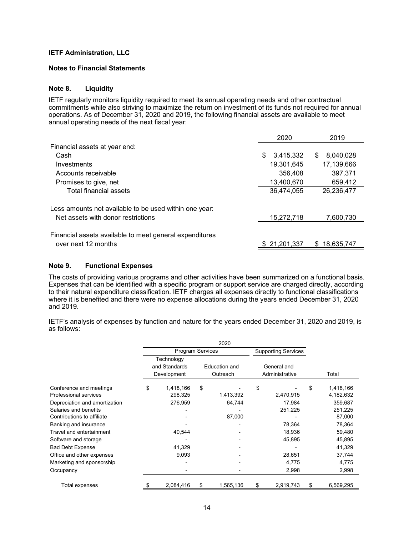#### **Notes to Financial Statements**

#### **Note 8. Liquidity**

IETF regularly monitors liquidity required to meet its annual operating needs and other contractual commitments while also striving to maximize the return on investment of its funds not required for annual operations. As of December 31, 2020 and 2019, the following financial assets are available to meet annual operating needs of the next fiscal year:

|                                                         | 2020            | 2019           |
|---------------------------------------------------------|-----------------|----------------|
| Financial assets at year end:                           |                 |                |
| Cash                                                    | 3,415,332<br>\$ | 8,040,028<br>S |
| Investments                                             | 19,301,645      | 17,139,666     |
| Accounts receivable                                     | 356,408         | 397,371        |
| Promises to give, net                                   | 13.400.670      | 659,412        |
| Total financial assets                                  | 36,474,055      | 26,236,477     |
| Less amounts not available to be used within one year:  |                 |                |
| Net assets with donor restrictions                      | 15,272,718      | 7,600,730      |
| Financial assets available to meet general expenditures |                 |                |
| over next 12 months                                     | \$21,201,337    | \$18,635,747   |

#### **Note 9. Functional Expenses**

The costs of providing various programs and other activities have been summarized on a functional basis. Expenses that can be identified with a specific program or support service are charged directly, according to their natural expenditure classification. IETF charges all expenses directly to functional classifications where it is benefited and there were no expense allocations during the years ended December 31, 2020 and 2019.

IETF's analysis of expenses by function and nature for the years ended December 31, 2020 and 2019, is as follows:

|                               |                         |               |    | 2020          |                            |                |    |           |
|-------------------------------|-------------------------|---------------|----|---------------|----------------------------|----------------|----|-----------|
|                               | <b>Program Services</b> |               |    |               | <b>Supporting Services</b> |                |    |           |
|                               |                         | Technology    |    |               |                            |                |    |           |
|                               |                         | and Standards |    | Education and |                            | General and    |    |           |
|                               |                         | Development   |    | Outreach      |                            | Administrative |    | Total     |
| Conference and meetings       | \$                      | 1,418,166     | \$ |               | \$                         |                | \$ | 1,418,166 |
| Professional services         |                         | 298,325       |    | 1,413,392     |                            | 2,470,915      |    | 4,182,632 |
| Depreciation and amortization |                         | 276,959       |    | 64,744        |                            | 17,984         |    | 359,687   |
| Salaries and benefits         |                         |               |    |               |                            | 251,225        |    | 251,225   |
| Contributions to affiliate    |                         |               |    | 87,000        |                            |                |    | 87,000    |
| Banking and insurance         |                         |               |    |               |                            | 78,364         |    | 78,364    |
| Travel and entertainment      |                         | 40,544        |    |               |                            | 18,936         |    | 59,480    |
| Software and storage          |                         |               |    |               |                            | 45,895         |    | 45,895    |
| <b>Bad Debt Expense</b>       |                         | 41,329        |    |               |                            |                |    | 41,329    |
| Office and other expenses     |                         | 9,093         |    |               |                            | 28,651         |    | 37,744    |
| Marketing and sponsorship     |                         |               |    |               |                            | 4,775          |    | 4,775     |
| Occupancy                     |                         |               |    |               |                            | 2,998          |    | 2,998     |
| Total expenses                |                         | 2,084,416     | S  | 1,565,136     | \$                         | 2,919,743      |    | 6,569,295 |